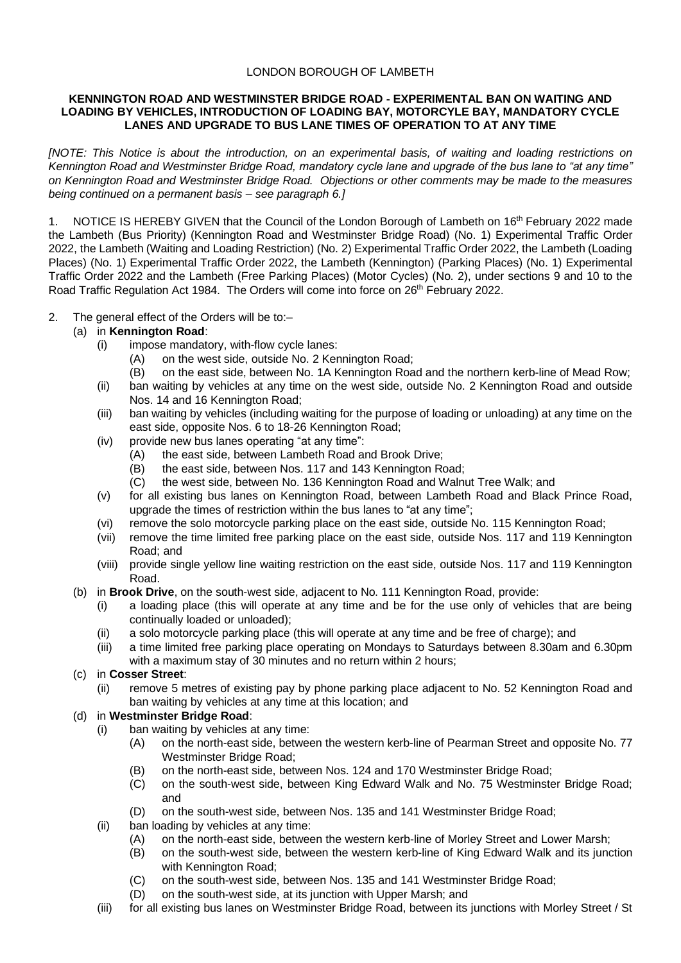## LONDON BOROUGH OF LAMBETH

### **KENNINGTON ROAD AND WESTMINSTER BRIDGE ROAD - EXPERIMENTAL BAN ON WAITING AND LOADING BY VEHICLES, INTRODUCTION OF LOADING BAY, MOTORCYLE BAY, MANDATORY CYCLE LANES AND UPGRADE TO BUS LANE TIMES OF OPERATION TO AT ANY TIME**

*[NOTE: This Notice is about the introduction, on an experimental basis, of waiting and loading restrictions on Kennington Road and Westminster Bridge Road, mandatory cycle lane and upgrade of the bus lane to "at any time" on Kennington Road and Westminster Bridge Road. Objections or other comments may be made to the measures being continued on a permanent basis – see paragraph 6.]* 

NOTICE IS HEREBY GIVEN that the Council of the London Borough of Lambeth on 16<sup>th</sup> February 2022 made the Lambeth (Bus Priority) (Kennington Road and Westminster Bridge Road) (No. 1) Experimental Traffic Order 2022, the Lambeth (Waiting and Loading Restriction) (No. 2) Experimental Traffic Order 2022, the Lambeth (Loading Places) (No. 1) Experimental Traffic Order 2022, the Lambeth (Kennington) (Parking Places) (No. 1) Experimental Traffic Order 2022 and the Lambeth (Free Parking Places) (Motor Cycles) (No. 2), under sections 9 and 10 to the Road Traffic Regulation Act 1984. The Orders will come into force on 26<sup>th</sup> February 2022.

2. The general effect of the Orders will be to:–

# (a) in **Kennington Road**:

- (i) impose mandatory, with-flow cycle lanes:
	- (A) on the west side, outside No. 2 Kennington Road;
	- (B) on the east side, between No. 1A Kennington Road and the northern kerb-line of Mead Row;
- (ii) ban waiting by vehicles at any time on the west side, outside No. 2 Kennington Road and outside Nos. 14 and 16 Kennington Road;
- (iii) ban waiting by vehicles (including waiting for the purpose of loading or unloading) at any time on the east side, opposite Nos. 6 to 18-26 Kennington Road;
- (iv) provide new bus lanes operating "at any time":
	- (A) the east side, between Lambeth Road and Brook Drive;
	- (B) the east side, between Nos. 117 and 143 Kennington Road;
	- (C) the west side, between No. 136 Kennington Road and Walnut Tree Walk; and
- (v) for all existing bus lanes on Kennington Road, between Lambeth Road and Black Prince Road, upgrade the times of restriction within the bus lanes to "at any time";
- (vi) remove the solo motorcycle parking place on the east side, outside No. 115 Kennington Road;
- (vii) remove the time limited free parking place on the east side, outside Nos. 117 and 119 Kennington Road; and
- (viii) provide single yellow line waiting restriction on the east side, outside Nos. 117 and 119 Kennington Road.
- (b) in **Brook Drive**, on the south-west side, adjacent to No. 111 Kennington Road, provide:
	- (i) a loading place (this will operate at any time and be for the use only of vehicles that are being continually loaded or unloaded);
	- (ii) a solo motorcycle parking place (this will operate at any time and be free of charge); and
	- (iii) a time limited free parking place operating on Mondays to Saturdays between 8.30am and 6.30pm with a maximum stay of 30 minutes and no return within 2 hours;

## (c) in **Cosser Street**:

(ii) remove 5 metres of existing pay by phone parking place adjacent to No. 52 Kennington Road and ban waiting by vehicles at any time at this location; and

# (d) in **Westminster Bridge Road**:

- (i) ban waiting by vehicles at any time:
	- (A) on the north-east side, between the western kerb-line of Pearman Street and opposite No. 77 Westminster Bridge Road;
	- (B) on the north-east side, between Nos. 124 and 170 Westminster Bridge Road;
	- (C) on the south-west side, between King Edward Walk and No. 75 Westminster Bridge Road; and
	- (D) on the south-west side, between Nos. 135 and 141 Westminster Bridge Road;
- (ii) ban loading by vehicles at any time:
	- (A) on the north-east side, between the western kerb-line of Morley Street and Lower Marsh;
	- (B) on the south-west side, between the western kerb-line of King Edward Walk and its junction with Kennington Road:
	- (C) on the south-west side, between Nos. 135 and 141 Westminster Bridge Road;
	- (D) on the south-west side, at its junction with Upper Marsh; and
- (iii) for all existing bus lanes on Westminster Bridge Road, between its junctions with Morley Street / St